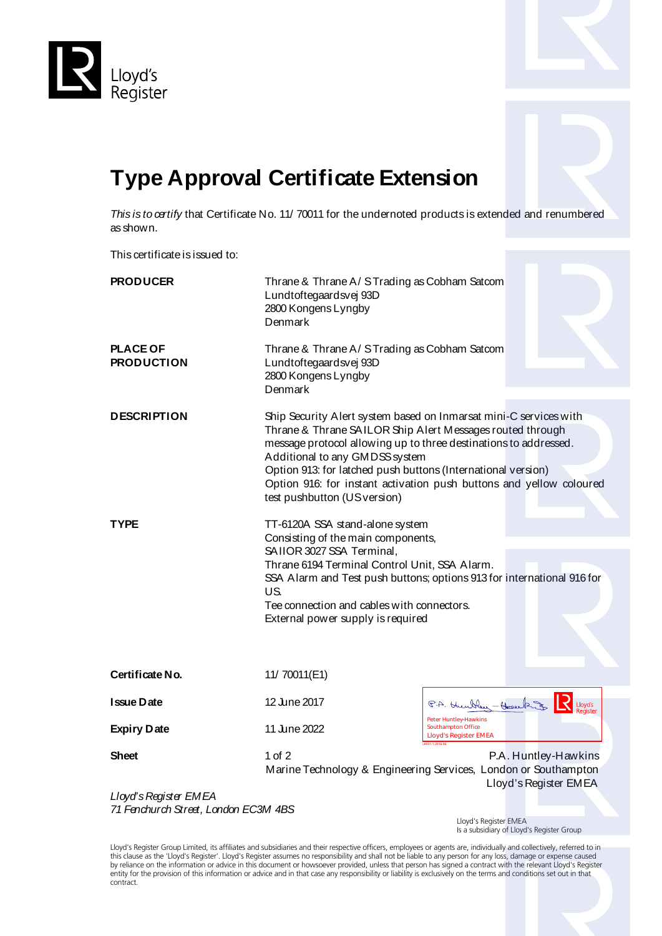



## **Type Approval Certificate Extension**

*This is to certify* that Certificate No. 11/ 70011 for the undernoted products is extended and renumbered as shown.

This certificate is issued to:

| <b>PRODUCER</b>                                                    | Thrane & Thrane A/STrading as Cobham Satcom<br>Lundtoftegaardsvej 93D<br>2800 Kongens Lyngby<br>Denmark                                                                                                                                                                                                                                                                                                    |                                                                                                                  |  |
|--------------------------------------------------------------------|------------------------------------------------------------------------------------------------------------------------------------------------------------------------------------------------------------------------------------------------------------------------------------------------------------------------------------------------------------------------------------------------------------|------------------------------------------------------------------------------------------------------------------|--|
| <b>PLACE OF</b><br><b>PRODUCTION</b>                               | Thrane & Thrane A/STrading as Cobham Satcom<br>Lundtoftegaardsvej 93D<br>2800 Kongens Lyngby<br>Denmark                                                                                                                                                                                                                                                                                                    |                                                                                                                  |  |
| <b>DESCRIPTION</b>                                                 | Ship Security Alert system based on Inmarsat mini-C services with<br>Thrane & Thrane SAILOR Ship Alert Messages routed through<br>message protocol allowing up to three destinations to addressed.<br>Additional to any GMDSS system<br>Option 913: for latched push buttons (International version)<br>Option 916: for instant activation push buttons and yellow coloured<br>test pushbutton (USversion) |                                                                                                                  |  |
| TYPE                                                               | TT-6120A SSA stand-alone system                                                                                                                                                                                                                                                                                                                                                                            |                                                                                                                  |  |
|                                                                    | Consisting of the main components,<br>SAIIOR 3027 SSA Terminal,<br>Thrane 6194 Terminal Control Unit, SSA Alarm.<br>SSA Alarm and Test push buttons; options 913 for international 916 for<br>US.<br>Tee connection and cables with connectors.<br>External power supply is required                                                                                                                       |                                                                                                                  |  |
| Certificate No.                                                    | 11/ 70011(E1)                                                                                                                                                                                                                                                                                                                                                                                              |                                                                                                                  |  |
| Issue Date                                                         | 12 June 2017                                                                                                                                                                                                                                                                                                                                                                                               | P.A. then Here - Herecking<br>Lloyd's                                                                            |  |
| <b>Expiry Date</b>                                                 | 11 June 2022                                                                                                                                                                                                                                                                                                                                                                                               | Peter Huntley-Hawkins<br><b>Southampton Office</b><br><b>Lloyd's Register EMEA</b>                               |  |
| <b>Sheet</b>                                                       | $1$ of $2$                                                                                                                                                                                                                                                                                                                                                                                                 | P.A. Huntley-Hawkins<br>Marine Technology & Engineering Services, London or Southampton<br>Lloyd's Register EMEA |  |
| Lloyd's Register EMEA<br>74 Emphysical Chronicle Longlope ECOM 4DC |                                                                                                                                                                                                                                                                                                                                                                                                            |                                                                                                                  |  |

*71 Fenchurch Street, London EC3M 4BS*

 Lloyd's Register EMEA Is a subsidiary of Lloyd's Register Group

Lloyd's Register Group Limited, its affiliates and subsidiaries and their respective officers, employees or agents are, individually and collectively, referred to in this clause as the 'Lloyd's Register'. Lloyd's Register assumes no responsibility and shall not be liable to any person for any loss, damage or expense caused<br>by reliance on the information or advice in this document or ho entity for the provision of this information or advice and in that case any responsibility or liability is exclusively on the terms and conditions set out in that contract.